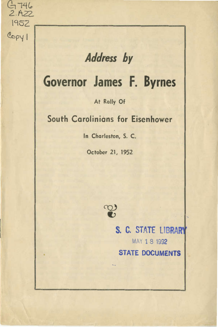## Address by

 $G$  746 2.Azz\_ \952

Copyl

# Governor James F. Byrnes

### At Rally Of

### South Carolinians for Eisenhower

In Charleston, S. C.

October 21, 1952



S. C. STATE UBRAm MAY 18 1992 STATE DOCUMENTS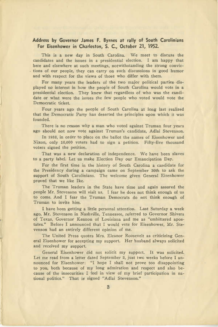#### **Address by Governor James F. Byrnes at rally of South Carolinians For Eisenhower in Charleston, S. C., October 21, 1952.**

This is a new day in South Carolina. We meet to discuss the candidates and the issues in a presidential election. I am happy that here and elsewhere at such meetings, notwithstanding the strong convictions of our people, they can carry on such discussions in good humor and with respect for the views of those who differ with them.

For many years the leaders of the two major political parties . displayed no interest in how the people of South Carolina would vote in a presidential election. They knew that regardless of who was the candidate or what were the issues the few people who voted would vote the Democratic ticket.

Four years ago the people of South Carolina at long last realized that the Democratic Party has deserted the principles upon which it was founded.

There is no reason why a man who voted against Truman four years ago should not now vote against Truman's candidate, Adlai Stevenson.

In 1952, in order to place on the ballot the names of Eisenhower and Nixon, only 10,000 voters had to sign a petition. Fifty-five thousand voters signed the petition.

That was a new declaration of independence. We have been slaves to a party label. Let us make Election Day our Emancipation Day.

For the first time in the history of South Carolina a candidate for the Presidency during a campaign came on September 30th to ask the support of South Carolinians. The welcome given General Eisenhower proved that we like Ike.

The Truman leaders in the State have time and again assured the people Mr. Stevenson will visit us. I fear he does not think enough of us to come. And I fear the Truman Democrats do not think enough of Truman to invite him.

I have been getting a little personal attention. Last Saturday a week ago, Mr. Stevenson in Nashville, Tennessee, referred to Governor Shivers of Texas, Governor Kennon of Louisiana and me as "embittered apostates." Before I announced that I would vote for Eisenhower, Mr. Stevenson had an entirely different opinion of me.

The United Press quotes Mrs. Eleanor Roosevelt as criticizing General Eisenhower for accepting my support. Her husband always solicited and received my support.

General Eisenhower did not solicit my support. It was solicited. Let me read from a letter dated September 2, just two weeks before I announced for Eisenhower: "I hope I shall not prove too disappointing to you, both because of my long admiration and respect and also because of the insecurities I feel in view of my brief participation in national politics." That ig signed "Adlai Stevenson."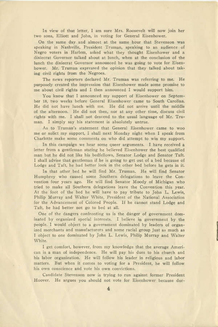In view of that letter, I am sure Mrs. Roosevelt will now join her two sons, Elliott and John, in voting for General Eisenhower.

On the same day and almost at the same hour that Stevenson was speaking in Nashville, President Truman, speaking to an audience of Negro voters in Harlem, asked what they thought Eisenhower and a dixiecrat Governor talked about at lunch, when at the conclusion of the lunch the dixiecrat Governor announced he was going to vote for Eisenhower. Mr. Truman expressed the opinion that they talked about taking civil rights from the Negroes.

The news reporters declared Mr. Truman was referring to me. He purposely created the impression that Eisenhower made some promise to me about civil rights and I then announced I would support him.

You know that I announced my support of Eisenhower on September 18, two weeks before General Eisenhower came to South Carolina. He did not have lunch with me. He did not arrive until the middle of the afternoon. He did not then, nor at any other time, discuss civil rights with me. I shall not descend to the usual language of Mr. Truman. I simply say his statement is absolutely untrue.

As to Truman's statement that General Eisenhower came to woo me or solict my support, I shall next Monday night when I speak from Charlotte make some comments on who did attempt to win my support.

In this campaign we hear some queer arguments. I have received a letter from a gentleman stating he believed Eisenhower the best qualified man but he did not like his bedfellows, Senator Lodge and Senator Taft. I shall advise that gentleman if he is going to get out of a bed because of Lodge and Taft, he had better look in the other bed before he gets in it.

In that other bed he will find Mr. Truman. He will find Senator Humphrey who caused some Southern delegations to leave the Convention four years ago. He will find Senator Moody of Michigan who tried to make all Southern delegations leave the Convention this year. At the foot of the bed he will have to pay tribute to John L. Lewis, Philip Murray and Walter White, President of the National Association for the Advancement of Colored People. If he cannot stand Lodge and Taft, he had better not go to bed at all.

One of the dangers confronting us is the danger of government dominated by organized special interests. I believe in government by the people. I would object to a government dominated by leaders of organized merchants and manufacturers and some racial group just as much as I object to one dominated by John L. Lewis, Philip Murray and \IValter White.

I get comfort, however, from my knowledge that the average American is a man of independence. He will pay his dues to his church and his labor organization. He will follow his leader in religious and labor matters. But when it comes to voting for a President, he will follow his own conscience and vote his own convictions.

Candidate Stevenson now is trying to run against former President Hoover. He argues you should not vote for Eisenhower because dur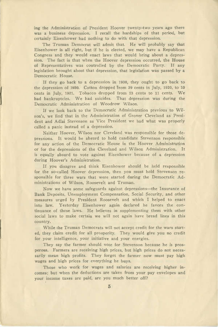ing the Administration of President Hoover twenty-two years ago there was a business depression. I recall the hardships of that period, but certainly Eisenhower had nothing to do with that depression.

The Truman Democrat will admit that. He will probably say that Eisenhower is all right, but if he is elected, we may have a Republican Congress and they would enact laws that would bring about a depression. The fact is that when the Hoover depression occurred, the House of Representatives was controlled by the Democratic Party. If any legislation brought about that depression, that legislation was passed by a Democratic House.

If they go back to a depression in 1930, they ought to go back to the depression of 1920. Cotton dropped Irom 39 cents in July, 1920, to 10 cents in July, 1921. Tobacco dropped from  $23$  cents to 11 cents. We had bankruptcies. We had suicides. That depression was during the Democratic Administration of Woodrow Wilson.

If we look back to the Democratic Administration previous to Wilson's, we find that in the Administration of Grover Cleveland as President and Adlai Stevenson as Vice President we had what was properly called a panic instead of a depression.

Neither Hoover, Wilson nor Cleveland was responsible for those depressions. It would be absurd to hold candidate Stevenson responsible for any action of the Democratic House in the Hoover Administration or for the depressions of the Cleveland and Wilson Administration. It is equally absurd to vote against Eisenhower because of a depression during Hoover's Administration.

If you disagree and think Eisenhower should be held responsible for the so-called Hoover depression, then you must hold Stevenson responsible for three wars that were started during the Democratic Administrations of Wilson, Roosevelt and Truman.

Now we have some safeguards against depressions-the Insurance of Bank Deposits, Unemployment Compensation, Social Security, and other measures urged by President Roosevelt and which I helped to enact into law. Yesterday Eisenhower again declared he favors the continuance of those laws. He believes in supplementing them with other social laws to make certain we will not again have bread lines in this country.

While the Truman Democrats will not accept credit for the wars started, they claim credit for all prosperity. They would give you no credit for your intelligence, your initiative and your energies.

They say the farmer should vote for Stevenson because he is prosperous. Farmers are receiving high prices, but high prices do not necessarily mean high profits. They forget the farmer now must pay high wages and high prices for everything he buys.

Those who work for wages and salaries are receiving higher incomes; but when the deductions are taken from your pay envelopes and your income taxes are paid, are you much better off?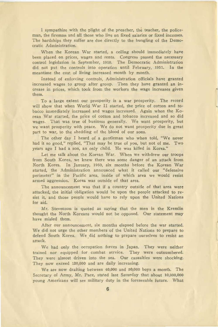I sympathize with the plight of the preacher, the teacher, the policeman, the fireman and all those who live on fixed salaries or fixed incomes. The hardships they suffer are due directly to the bungling of the Democratic Administration.

When the Korean War started, a ceiling should immediately have been placed on prices, wages and rents. Congress passed the necessary control legislation in September, 1950. The Democratic Administration did not put the controls into operation until February, 1951. In the meantime the cost of living increased month by month.

Instead of enforcing controls, Administration officials have granted increased wages to group after group. Then they have granted an increase in prices, which took from the workers the wage increases given them.

To a large extent our prosperity is a war prosperity. The record will show that when World War II started, the price of cotton and tobacco immediately increased and wages increased. Again when the Korean \Nar started, the price of cotton and tobacco increased and so did wages. That was true of business generally. We want prosperity, but we want prosperity with peace. We do not want prosperity due in great part to war, to the shedding of the blood of our sons.

The other day I heard of a gentleman who when told, "We never had it so good," replied, "That may be true of you, but not of me. Two years ago I had a son, an only child. He was killed in Korea."

Let me talk about the Korean War. When we withdrew our troops from South Korea, we knew there was some danger of an attack from North Korea. In January, 1950, six months before the Korean War started, the Administration announced what it called our "defensive perimeter" in the Pacific area, inside of which area we would resist armed aggression. Korea was outside of that area.

The announcement was that if a country outside of that area were attacked, the initial obligation would be upon the people attacked to resist it, and those people would have to rely upon the United Nations for aid.

Mr. Stevenson is quoted as saying that the men in the Kremlin thought the North Koreans would not be opposed. Our statement may have misled them.

After our announcement, six months elapsed before the war started. We did not urge the other members of the United Nations to prepare to defend South Korea. We did nothing to prepare ourselves to resist an attack.

We had only the occupation forces in Japan. They were neither trained nor equipped for combat service. They were outnumbered. They were almost driven into the sea. Our casualties were shocking. They now exceed 120,000 and are daily increasing.

We are now drafting between 40,000 and 50,000 boys a month. The Secretary of Army, Mr. Pace, stated last Saturday that about 10,000,000 young Americans will see military duty in the foreseeable future. What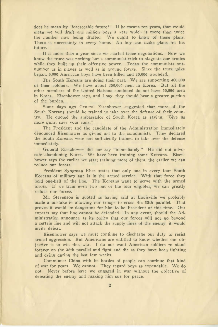does he mean by "foreseeable future?" If he means ten years, that would mean we will draft one million boys a year which is more than twice the number now being drafted. We ought to know of these plans. There is uncertainty in every home. No boy can make plans for his future.

It is more than a year since we started truce negotiations. Now we know the truce was nothing but a communist trick to stagnate our armies while they built up their offensive power. Today the communists outnumber us in planes as well as in ground forces. Since the truce talks began, 6,000 American boys have been killed and 30,000 wounded.

The South Koreans are doing their part. We are supporting 400,000 of their soldiers. We have about 250,000 men in Korea. But all the other members of the United Nations combined do not have 50,000 men in Korea. Eisenhower says, and I say, they should bear a greater portion of the burden.

Some days ago General Eisenhower suggested that more of the South Koreans should be trained to take over the defense of their country. He quoted the ambassador of South Korea as saying, "Give us more guns, save your sons."

The President and the candidate of the Administration immediately denounced Eisenhower as giving aid to the communists. They declared the South Koreans were not sufficiently trained to take over the defense immediately.

General Eisenhower did not say "immediately." He did not advocate abandoning Korea. We have been training some Koreans. Eisenhower says the earlier we start training more of them, the earlier we can reduce our forces.

President Syngman Rhee states that only one in every four South Koreans of military age is in the armed service. With that force they hold one-half of the line. The Koreans want to serve with the armed forces. If we train even two out of the four eligibles, we can greatly reduce our forces.

Mr. Stevenson is quoted as having said at Louisville we probably made a mistake in allowing our troops to cross the 38th parallel. That proves it would be dangerous for him to be President at this time. Our experts say that line cannot be defended. In any event, should the Administration announce as its policy that our forces will not go beyond a certain line and will not attack the supply lines of the enemy, it would invite defeat.

Eisenhower says we must continue to discharge our duty to resist armed aggression. But Americans are entitled to know whether our objective is to win this war. I do not want American soldiers to stand forever on the 38th parallel and fight and die as they have been fighting and dying during the last few weeks.

Communist China with its hordes of people can continue that kind of war for years. We cannot. They regard boys as expendable. We do not. Never before have we engaged in war without the objective of defeating the enemy and making him sue for peace.